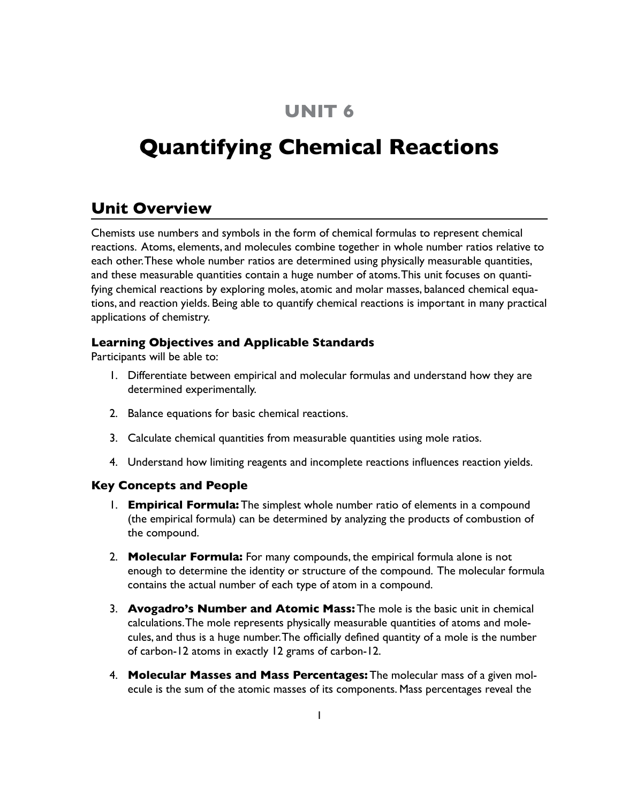## **UNIT 6**

# **Quantifying Chemical Reactions**

## **Unit Overview**

Chemists use numbers and symbols in the form of chemical formulas to represent chemical reactions. Atoms, elements, and molecules combine together in whole number ratios relative to each other. These whole number ratios are determined using physically measurable quantities, and these measurable quantities contain a huge number of atoms. This unit focuses on quantifying chemical reactions by exploring moles, atomic and molar masses, balanced chemical equations, and reaction yields. Being able to quantify chemical reactions is important in many practical applications of chemistry.

### **Learning Objectives and Applicable Standards**

Participants will be able to:

- 1. Differentiate between empirical and molecular formulas and understand how they are determined experimentally.
- 2. Balance equations for basic chemical reactions.
- 3. Calculate chemical quantities from measurable quantities using mole ratios.
- 4. Understand how limiting reagents and incomplete reactions influences reaction yields.

#### **Key Concepts and People**

- 1. **Empirical Formula:** The simplest whole number ratio of elements in a compound (the empirical formula) can be determined by analyzing the products of combustion of the compound.
- 2. **Molecular Formula:** For many compounds, the empirical formula alone is not enough to determine the identity or structure of the compound. The molecular formula contains the actual number of each type of atom in a compound.
- 3. **Avogadro's Number and Atomic Mass:** The mole is the basic unit in chemical calculations. The mole represents physically measurable quantities of atoms and molecules, and thus is a huge number. The officially defined quantity of a mole is the number of carbon-12 atoms in exactly 12 grams of carbon-12.
- 4. **Molecular Masses and Mass Percentages:** The molecular mass of a given molecule is the sum of the atomic masses of its components. Mass percentages reveal the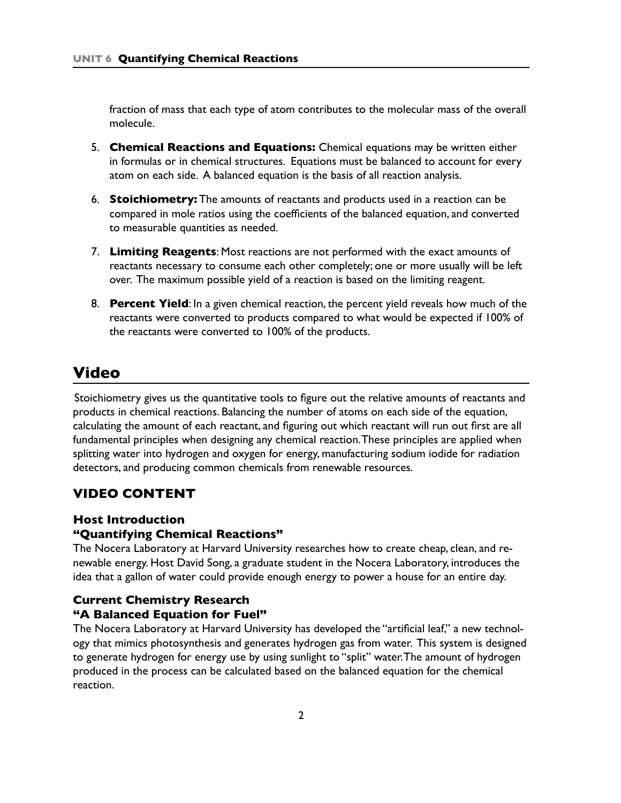fraction of mass that each type of atom contributes to the molecular mass of the overall molecule.

- 5. **Chemical Reactions and Equations:** Chemical equations may be written either in formulas or in chemical structures. Equations must be balanced to account for every atom on each side. A balanced equation is the basis of all reaction analysis.
- 6. **Stoichiometry:** The amounts of reactants and products used in a reaction can be compared in mole ratios using the coefficients of the balanced equation, and converted to measurable quantities as needed.
- 7. **Limiting Reagents**: Most reactions are not performed with the exact amounts of reactants necessary to consume each other completely; one or more usually will be left over. The maximum possible yield of a reaction is based on the limiting reagent.
- 8. **Percent Yield**: In a given chemical reaction, the percent yield reveals how much of the reactants were converted to products compared to what would be expected if 100% of the reactants were converted to 100% of the products.

## **Video**

Stoichiometry gives us the quantitative tools to figure out the relative amounts of reactants and products in chemical reactions. Balancing the number of atoms on each side of the equation, calculating the amount of each reactant, and figuring out which reactant will run out first are all fundamental principles when designing any chemical reaction. These principles are applied when splitting water into hydrogen and oxygen for energy, manufacturing sodium iodide for radiation detectors, and producing common chemicals from renewable resources.

## **VIDEO CONTENT**

#### **Host Introduction**

#### **"Quantifying Chemical Reactions"**

The Nocera Laboratory at Harvard University researches how to create cheap, clean, and renewable energy. Host David Song, a graduate student in the Nocera Laboratory, introduces the idea that a gallon of water could provide enough energy to power a house for an entire day.

## **Current Chemistry Research**

## **"A Balanced Equation for Fuel"**

The Nocera Laboratory at Harvard University has developed the "artificial leaf," a new technology that mimics photosynthesis and generates hydrogen gas from water. This system is designed to generate hydrogen for energy use by using sunlight to "split" water. The amount of hydrogen produced in the process can be calculated based on the balanced equation for the chemical reaction.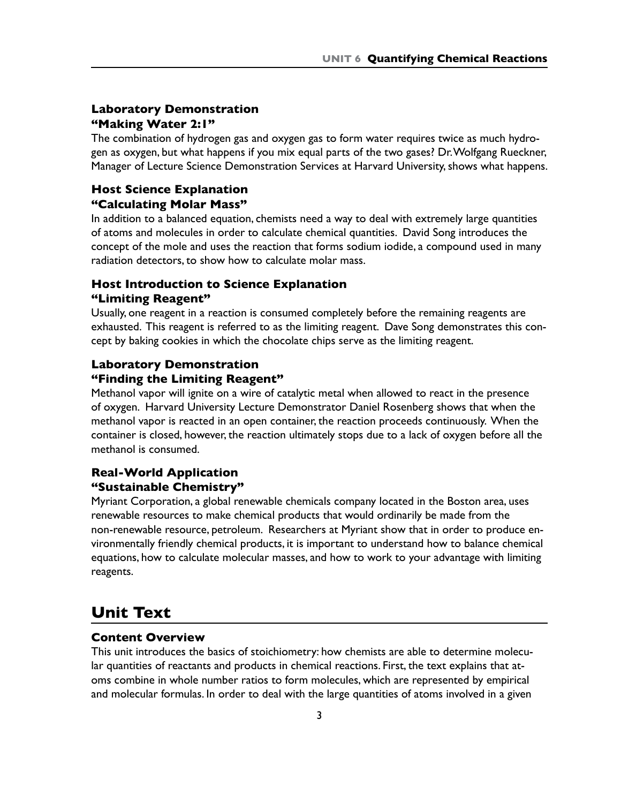#### **Laboratory Demonstration "Making Water 2:1"**

The combination of hydrogen gas and oxygen gas to form water requires twice as much hydrogen as oxygen, but what happens if you mix equal parts of the two gases? Dr. Wolfgang Rueckner, Manager of Lecture Science Demonstration Services at Harvard University, shows what happens.

### **Host Science Explanation "Calculating Molar Mass"**

In addition to a balanced equation, chemists need a way to deal with extremely large quantities of atoms and molecules in order to calculate chemical quantities. David Song introduces the concept of the mole and uses the reaction that forms sodium iodide, a compound used in many radiation detectors, to show how to calculate molar mass.

#### **Host Introduction to Science Explanation "Limiting Reagent"**

Usually, one reagent in a reaction is consumed completely before the remaining reagents are exhausted. This reagent is referred to as the limiting reagent. Dave Song demonstrates this concept by baking cookies in which the chocolate chips serve as the limiting reagent.

## **Laboratory Demonstration**

#### **"Finding the Limiting Reagent"**

Methanol vapor will ignite on a wire of catalytic metal when allowed to react in the presence of oxygen. Harvard University Lecture Demonstrator Daniel Rosenberg shows that when the methanol vapor is reacted in an open container, the reaction proceeds continuously. When the container is closed, however, the reaction ultimately stops due to a lack of oxygen before all the methanol is consumed.

### **Real-World Application "Sustainable Chemistry"**

Myriant Corporation, a global renewable chemicals company located in the Boston area, uses renewable resources to make chemical products that would ordinarily be made from the non-renewable resource, petroleum. Researchers at Myriant show that in order to produce environmentally friendly chemical products, it is important to understand how to balance chemical equations, how to calculate molecular masses, and how to work to your advantage with limiting reagents.

## **Unit Text**

#### **Content Overview**

This unit introduces the basics of stoichiometry: how chemists are able to determine molecular quantities of reactants and products in chemical reactions. First, the text explains that atoms combine in whole number ratios to form molecules, which are represented by empirical and molecular formulas. In order to deal with the large quantities of atoms involved in a given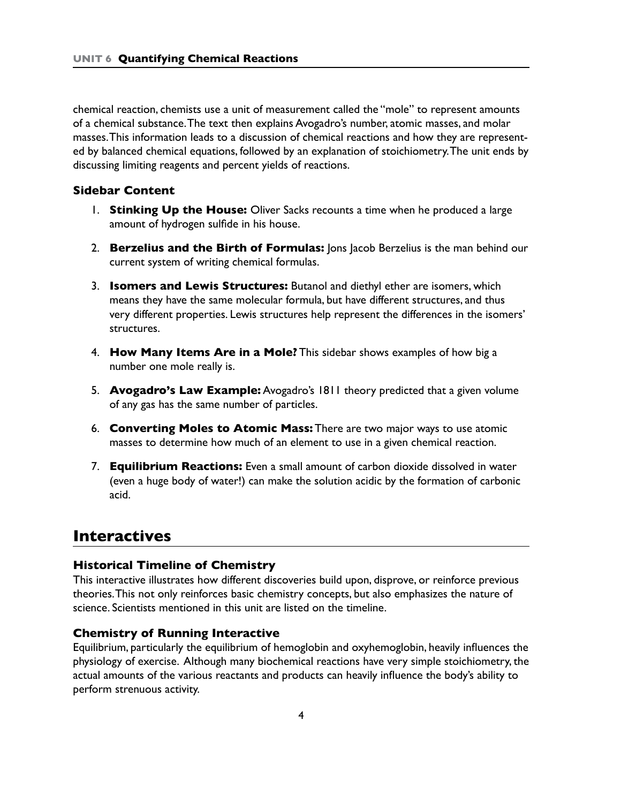chemical reaction, chemists use a unit of measurement called the "mole" to represent amounts of a chemical substance. The text then explains Avogadro's number, atomic masses, and molar masses. This information leads to a discussion of chemical reactions and how they are represented by balanced chemical equations, followed by an explanation of stoichiometry. The unit ends by discussing limiting reagents and percent yields of reactions.

#### **Sidebar Content**

- 1. **Stinking Up the House:** Oliver Sacks recounts a time when he produced a large amount of hydrogen sulfide in his house.
- 2. **Berzelius and the Birth of Formulas:** Jons Jacob Berzelius is the man behind our current system of writing chemical formulas.
- 3. **Isomers and Lewis Structures:** Butanol and diethyl ether are isomers, which means they have the same molecular formula, but have different structures, and thus very different properties. Lewis structures help represent the differences in the isomers' structures.
- 4. **How Many Items Are in a Mole?** This sidebar shows examples of how big a number one mole really is.
- 5. **Avogadro's Law Example:** Avogadro's 1811 theory predicted that a given volume of any gas has the same number of particles.
- 6. **Converting Moles to Atomic Mass:** There are two major ways to use atomic masses to determine how much of an element to use in a given chemical reaction.
- 7. **Equilibrium Reactions:** Even a small amount of carbon dioxide dissolved in water (even a huge body of water!) can make the solution acidic by the formation of carbonic acid.

## **Interactives**

#### **Historical Timeline of Chemistry**

This interactive illustrates how different discoveries build upon, disprove, or reinforce previous theories. This not only reinforces basic chemistry concepts, but also emphasizes the nature of science. Scientists mentioned in this unit are listed on the timeline.

#### **Chemistry of Running Interactive**

Equilibrium, particularly the equilibrium of hemoglobin and oxyhemoglobin, heavily influences the physiology of exercise. Although many biochemical reactions have very simple stoichiometry, the actual amounts of the various reactants and products can heavily influence the body's ability to perform strenuous activity.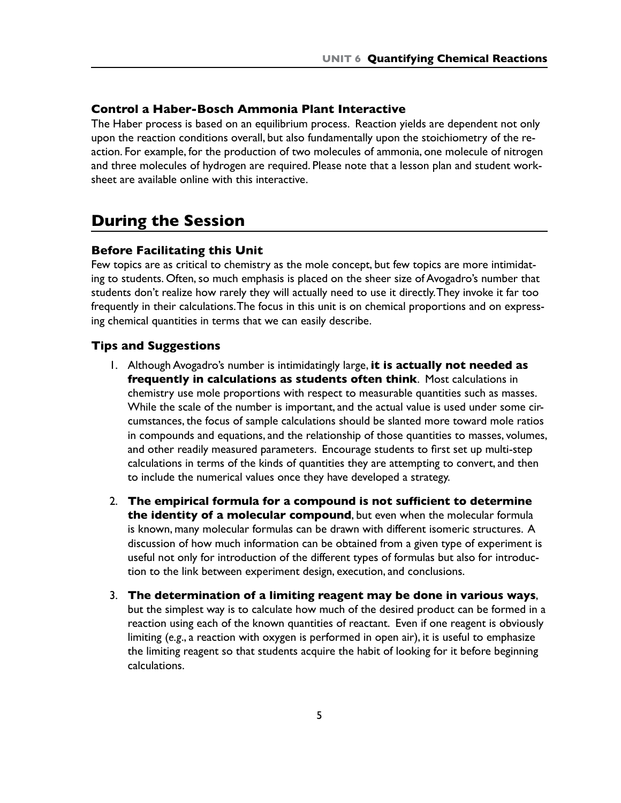#### **Control a Haber-Bosch Ammonia Plant Interactive**

The Haber process is based on an equilibrium process. Reaction yields are dependent not only upon the reaction conditions overall, but also fundamentally upon the stoichiometry of the reaction. For example, for the production of two molecules of ammonia, one molecule of nitrogen and three molecules of hydrogen are required. Please note that a lesson plan and student worksheet are available online with this interactive.

## **During the Session**

#### **Before Facilitating this Unit**

Few topics are as critical to chemistry as the mole concept, but few topics are more intimidating to students. Often, so much emphasis is placed on the sheer size of Avogadro's number that students don't realize how rarely they will actually need to use it directly. They invoke it far too frequently in their calculations. The focus in this unit is on chemical proportions and on expressing chemical quantities in terms that we can easily describe.

#### **Tips and Suggestions**

- 1. Although Avogadro's number is intimidatingly large, **it is actually not needed as frequently in calculations as students often think**. Most calculations in chemistry use mole proportions with respect to measurable quantities such as masses. While the scale of the number is important, and the actual value is used under some circumstances, the focus of sample calculations should be slanted more toward mole ratios in compounds and equations, and the relationship of those quantities to masses, volumes, and other readily measured parameters. Encourage students to first set up multi-step calculations in terms of the kinds of quantities they are attempting to convert, and then to include the numerical values once they have developed a strategy.
- 2. **The empirical formula for a compound is not sufficient to determine the identity of a molecular compound**, but even when the molecular formula is known, many molecular formulas can be drawn with different isomeric structures. A discussion of how much information can be obtained from a given type of experiment is useful not only for introduction of the different types of formulas but also for introduction to the link between experiment design, execution, and conclusions.
- 3. **The determination of a limiting reagent may be done in various ways**, but the simplest way is to calculate how much of the desired product can be formed in a reaction using each of the known quantities of reactant. Even if one reagent is obviously limiting (*e.g*., a reaction with oxygen is performed in open air), it is useful to emphasize the limiting reagent so that students acquire the habit of looking for it before beginning calculations.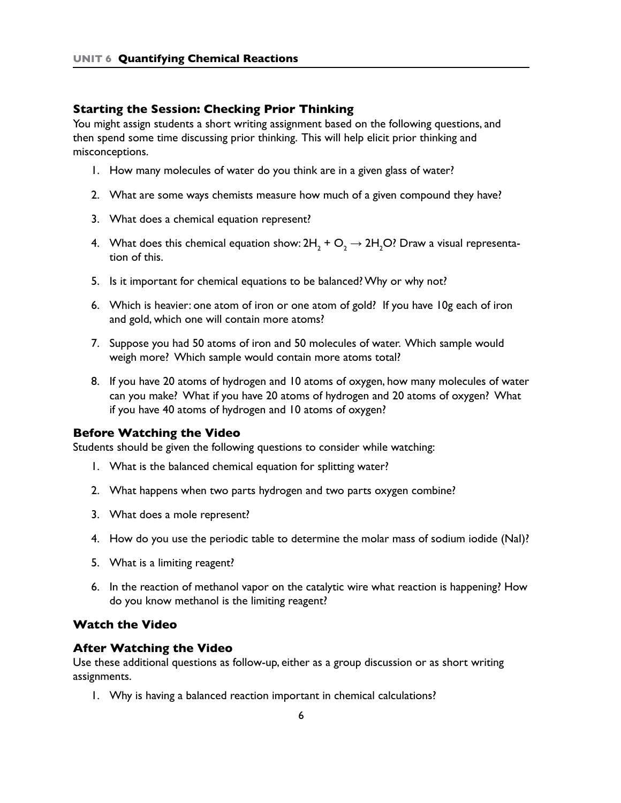#### **Starting the Session: Checking Prior Thinking**

You might assign students a short writing assignment based on the following questions, and then spend some time discussing prior thinking. This will help elicit prior thinking and misconceptions.

- 1. How many molecules of water do you think are in a given glass of water?
- 2. What are some ways chemists measure how much of a given compound they have?
- 3. What does a chemical equation represent?
- 4. What does this chemical equation show: 2H<sub>2</sub> + O<sub>2</sub>  $\rightarrow$  2H<sub>2</sub>O? Draw a visual representation of this.
- 5. Is it important for chemical equations to be balanced? Why or why not?
- 6. Which is heavier: one atom of iron or one atom of gold? If you have 10g each of iron and gold, which one will contain more atoms?
- 7. Suppose you had 50 atoms of iron and 50 molecules of water. Which sample would weigh more? Which sample would contain more atoms total?
- 8. If you have 20 atoms of hydrogen and 10 atoms of oxygen, how many molecules of water can you make? What if you have 20 atoms of hydrogen and 20 atoms of oxygen? What if you have 40 atoms of hydrogen and 10 atoms of oxygen?

#### **Before Watching the Video**

Students should be given the following questions to consider while watching:

- 1. What is the balanced chemical equation for splitting water?
- 2. What happens when two parts hydrogen and two parts oxygen combine?
- 3. What does a mole represent?
- 4. How do you use the periodic table to determine the molar mass of sodium iodide (NaI)?
- 5. What is a limiting reagent?
- 6. In the reaction of methanol vapor on the catalytic wire what reaction is happening? How do you know methanol is the limiting reagent?

#### **Watch the Video**

#### **After Watching the Video**

Use these additional questions as follow-up, either as a group discussion or as short writing assignments.

1. Why is having a balanced reaction important in chemical calculations?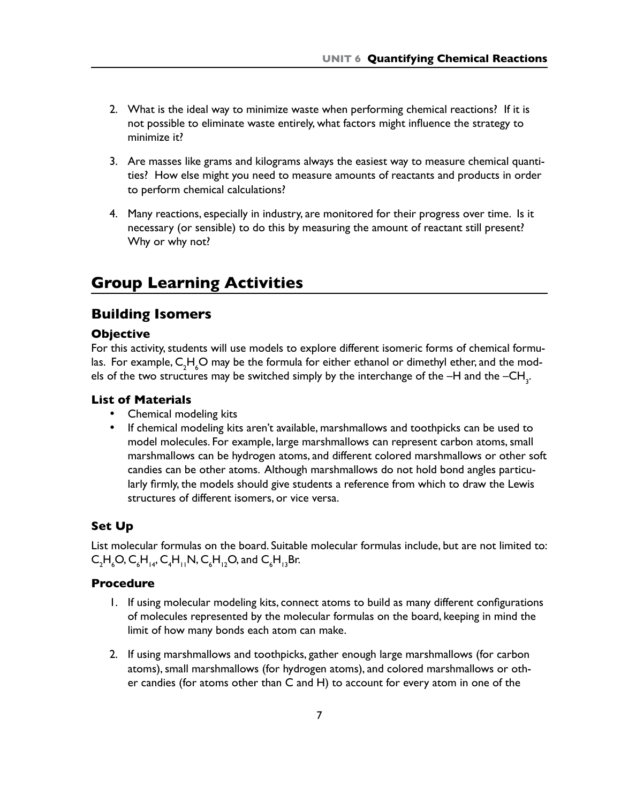- 2. What is the ideal way to minimize waste when performing chemical reactions? If it is not possible to eliminate waste entirely, what factors might influence the strategy to minimize it?
- 3. Are masses like grams and kilograms always the easiest way to measure chemical quantities? How else might you need to measure amounts of reactants and products in order to perform chemical calculations?
- 4. Many reactions, especially in industry, are monitored for their progress over time. Is it necessary (or sensible) to do this by measuring the amount of reactant still present? Why or why not?

## **Group Learning Activities**

## **Building Isomers**

#### **Objective**

For this activity, students will use models to explore different isomeric forms of chemical formulas. For example,  $\mathsf{C_2H_4O}$  may be the formula for either ethanol or dimethyl ether, and the models of the two structures may be switched simply by the interchange of the  $-\mathsf{H}$  and the  $-\mathsf{CH}_{\mathsf{3}^\mathsf{T}}$ .

#### **List of Materials**

- • Chemical modeling kits
- If chemical modeling kits aren't available, marshmallows and toothpicks can be used to model molecules. For example, large marshmallows can represent carbon atoms, small marshmallows can be hydrogen atoms, and different colored marshmallows or other soft candies can be other atoms. Although marshmallows do not hold bond angles particularly firmly, the models should give students a reference from which to draw the Lewis structures of different isomers, or vice versa.

#### **Set Up**

List molecular formulas on the board. Suitable molecular formulas include, but are not limited to:  $\mathsf{C}_2\mathsf{H}_\mathsf{g}\mathsf{O}, \mathsf{C}_\mathsf{6}\mathsf{H}_{\mathsf{14}}, \mathsf{C}_\mathsf{4}\mathsf{H}_{\mathsf{11}}\mathsf{N}, \mathsf{C}_\mathsf{6}\mathsf{H}_{\mathsf{12}}\mathsf{O}, \mathsf{and} \ \mathsf{C}_\mathsf{6}\mathsf{H}_{\mathsf{13}}\mathsf{Br}.$ 

#### **Procedure**

- 1. If using molecular modeling kits, connect atoms to build as many different configurations of molecules represented by the molecular formulas on the board, keeping in mind the limit of how many bonds each atom can make.
- 2. If using marshmallows and toothpicks, gather enough large marshmallows (for carbon atoms), small marshmallows (for hydrogen atoms), and colored marshmallows or other candies (for atoms other than C and H) to account for every atom in one of the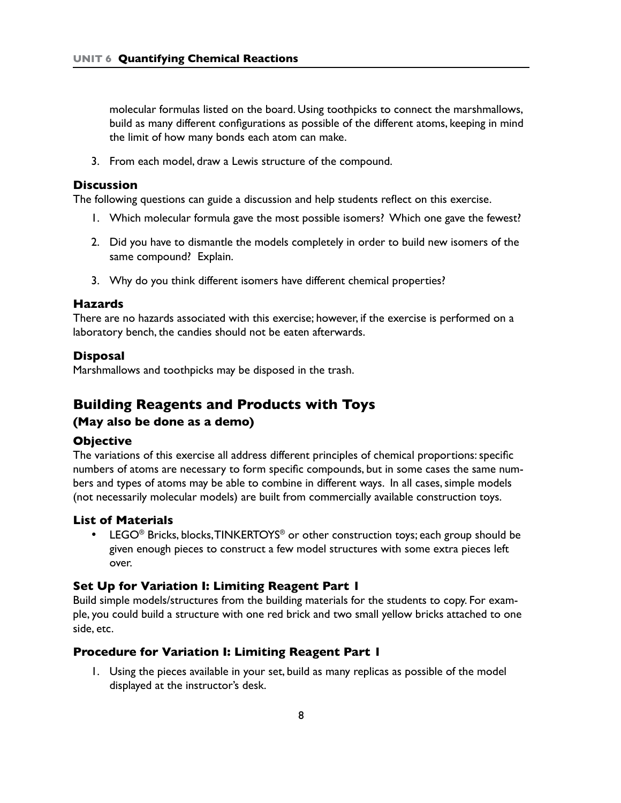molecular formulas listed on the board. Using toothpicks to connect the marshmallows, build as many different configurations as possible of the different atoms, keeping in mind the limit of how many bonds each atom can make.

3. From each model, draw a Lewis structure of the compound.

#### **Discussion**

The following questions can guide a discussion and help students reflect on this exercise.

- 1. Which molecular formula gave the most possible isomers? Which one gave the fewest?
- 2. Did you have to dismantle the models completely in order to build new isomers of the same compound? Explain.
- 3. Why do you think different isomers have different chemical properties?

#### **Hazards**

There are no hazards associated with this exercise; however, if the exercise is performed on a laboratory bench, the candies should not be eaten afterwards.

#### **Disposal**

Marshmallows and toothpicks may be disposed in the trash.

#### **Building Reagents and Products with Toys**

#### **(May also be done as a demo)**

#### **Objective**

The variations of this exercise all address different principles of chemical proportions: specific numbers of atoms are necessary to form specific compounds, but in some cases the same numbers and types of atoms may be able to combine in different ways. In all cases, simple models (not necessarily molecular models) are built from commercially available construction toys.

#### **List of Materials**

 $LEGO<sup>®</sup>$  Bricks, blocks, TINKERTOYS<sup>®</sup> or other construction toys; each group should be given enough pieces to construct a few model structures with some extra pieces left over.

#### **Set Up for Variation I: Limiting Reagent Part 1**

Build simple models/structures from the building materials for the students to copy. For example, you could build a structure with one red brick and two small yellow bricks attached to one side, etc.

#### **Procedure for Variation I: Limiting Reagent Part 1**

1. Using the pieces available in your set, build as many replicas as possible of the model displayed at the instructor's desk.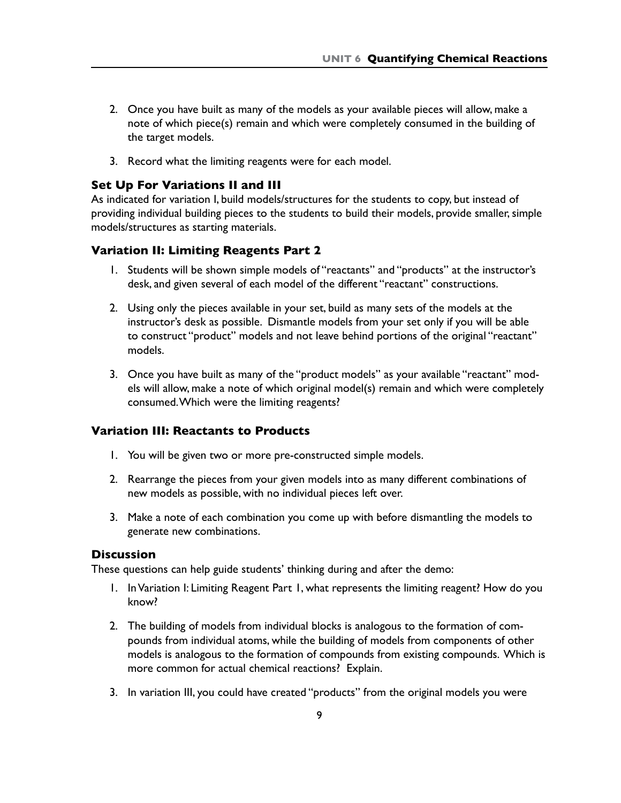- 2. Once you have built as many of the models as your available pieces will allow, make a note of which piece(s) remain and which were completely consumed in the building of the target models.
- 3. Record what the limiting reagents were for each model.

#### **Set Up For Variations II and III**

As indicated for variation I, build models/structures for the students to copy, but instead of providing individual building pieces to the students to build their models, provide smaller, simple models/structures as starting materials.

#### **Variation II: Limiting Reagents Part 2**

- 1. Students will be shown simple models of "reactants" and "products" at the instructor's desk, and given several of each model of the different "reactant" constructions.
- 2. Using only the pieces available in your set, build as many sets of the models at the instructor's desk as possible. Dismantle models from your set only if you will be able to construct "product" models and not leave behind portions of the original "reactant" models.
- 3. Once you have built as many of the "product models" as your available "reactant" models will allow, make a note of which original model(s) remain and which were completely consumed. Which were the limiting reagents?

### **Variation III: Reactants to Products**

- 1. You will be given two or more pre-constructed simple models.
- 2. Rearrange the pieces from your given models into as many different combinations of new models as possible, with no individual pieces left over.
- 3. Make a note of each combination you come up with before dismantling the models to generate new combinations.

#### **Discussion**

These questions can help guide students' thinking during and after the demo:

- 1. In Variation I: Limiting Reagent Part 1, what represents the limiting reagent? How do you know?
- 2. The building of models from individual blocks is analogous to the formation of compounds from individual atoms, while the building of models from components of other models is analogous to the formation of compounds from existing compounds. Which is more common for actual chemical reactions? Explain.
- 3. In variation III, you could have created "products" from the original models you were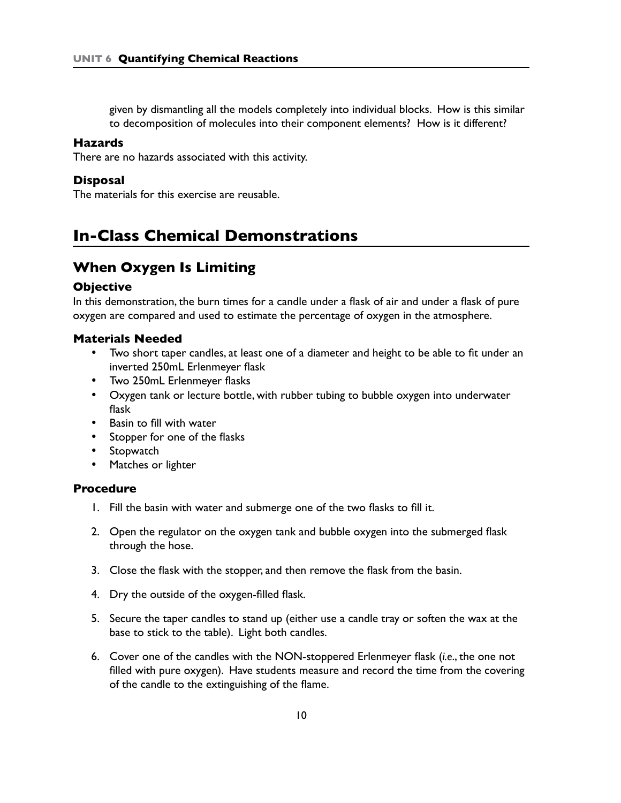given by dismantling all the models completely into individual blocks. How is this similar to decomposition of molecules into their component elements? How is it different?

#### **Hazards**

There are no hazards associated with this activity.

#### **Disposal**

The materials for this exercise are reusable.

## **In-Class Chemical Demonstrations**

### **When Oxygen Is Limiting**

#### **Objective**

In this demonstration, the burn times for a candle under a flask of air and under a flask of pure oxygen are compared and used to estimate the percentage of oxygen in the atmosphere.

#### **Materials Needed**

- Two short taper candles, at least one of a diameter and height to be able to fit under an inverted 250mL Erlenmeyer flask
- • Two 250mL Erlenmeyer flasks
- Oxygen tank or lecture bottle, with rubber tubing to bubble oxygen into underwater flask
- • Basin to fill with water
- • Stopper for one of the flasks
- Stopwatch
- • Matches or lighter

#### **Procedure**

- 1. Fill the basin with water and submerge one of the two flasks to fill it.
- 2. Open the regulator on the oxygen tank and bubble oxygen into the submerged flask through the hose.
- 3. Close the flask with the stopper, and then remove the flask from the basin.
- 4. Dry the outside of the oxygen-filled flask.
- 5. Secure the taper candles to stand up (either use a candle tray or soften the wax at the base to stick to the table). Light both candles.
- 6. Cover one of the candles with the NON-stoppered Erlenmeyer flask (*i.e*., the one not filled with pure oxygen). Have students measure and record the time from the covering of the candle to the extinguishing of the flame.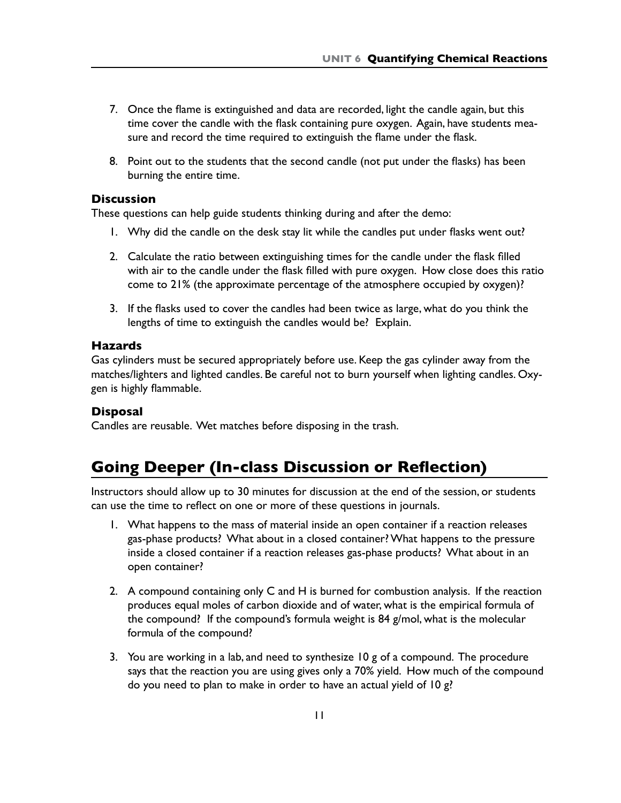- 7. Once the flame is extinguished and data are recorded, light the candle again, but this time cover the candle with the flask containing pure oxygen. Again, have students measure and record the time required to extinguish the flame under the flask.
- 8. Point out to the students that the second candle (not put under the flasks) has been burning the entire time.

#### **Discussion**

These questions can help guide students thinking during and after the demo:

- 1. Why did the candle on the desk stay lit while the candles put under flasks went out?
- 2. Calculate the ratio between extinguishing times for the candle under the flask filled with air to the candle under the flask filled with pure oxygen. How close does this ratio come to 21% (the approximate percentage of the atmosphere occupied by oxygen)?
- 3. If the flasks used to cover the candles had been twice as large, what do you think the lengths of time to extinguish the candles would be? Explain.

#### **Hazards**

Gas cylinders must be secured appropriately before use. Keep the gas cylinder away from the matches/lighters and lighted candles. Be careful not to burn yourself when lighting candles. Oxygen is highly flammable.

#### **Disposal**

Candles are reusable. Wet matches before disposing in the trash.

## **Going Deeper (In-class Discussion or Reflection)**

Instructors should allow up to 30 minutes for discussion at the end of the session, or students can use the time to reflect on one or more of these questions in journals.

- 1. What happens to the mass of material inside an open container if a reaction releases gas-phase products? What about in a closed container? What happens to the pressure inside a closed container if a reaction releases gas-phase products? What about in an open container?
- 2. A compound containing only C and H is burned for combustion analysis. If the reaction produces equal moles of carbon dioxide and of water, what is the empirical formula of the compound? If the compound's formula weight is 84 g/mol, what is the molecular formula of the compound?
- 3. You are working in a lab, and need to synthesize 10 g of a compound. The procedure says that the reaction you are using gives only a 70% yield. How much of the compound do you need to plan to make in order to have an actual yield of 10 g?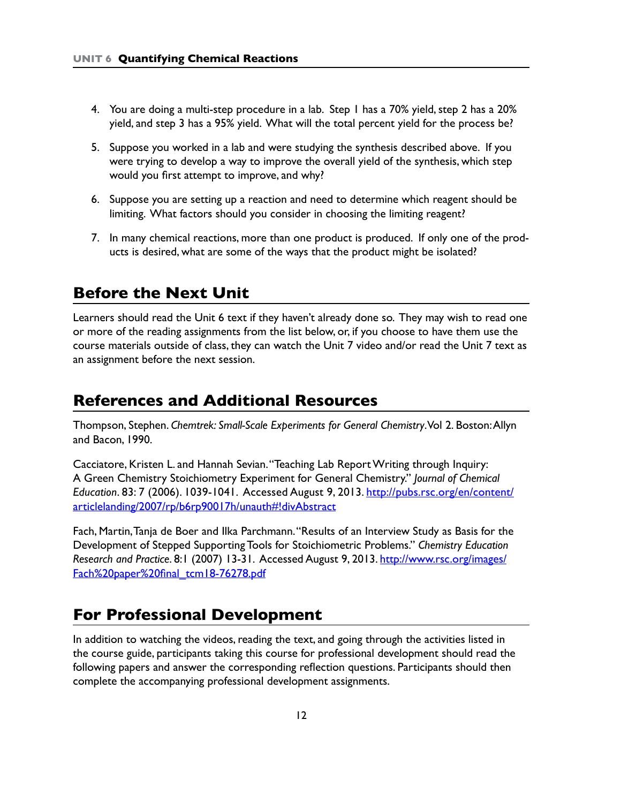- 4. You are doing a multi-step procedure in a lab. Step 1 has a 70% yield, step 2 has a 20% yield, and step 3 has a 95% yield. What will the total percent yield for the process be?
- 5. Suppose you worked in a lab and were studying the synthesis described above. If you were trying to develop a way to improve the overall yield of the synthesis, which step would you first attempt to improve, and why?
- 6. Suppose you are setting up a reaction and need to determine which reagent should be limiting. What factors should you consider in choosing the limiting reagent?
- 7. In many chemical reactions, more than one product is produced. If only one of the products is desired, what are some of the ways that the product might be isolated?

## **Before the Next Unit**

Learners should read the Unit 6 text if they haven't already done so. They may wish to read one or more of the reading assignments from the list below, or, if you choose to have them use the course materials outside of class, they can watch the Unit 7 video and/or read the Unit 7 text as an assignment before the next session.

## **References and Additional Resources**

Thompson, Stephen. *Chemtrek: Small-Scale Experiments for General Chemistry*. Vol 2. Boston: Allyn and Bacon, 1990.

Cacciatore, Kristen L. and Hannah Sevian. "Teaching Lab Report Writing through Inquiry: A Green Chemistry Stoichiometry Experiment for General Chemistry." *Journal of Chemical Education*. 83: 7 (2006). 1039-1041. Accessed August 9, 2013. [http://pubs.rsc.org/en/content/](http://pubs.rsc.org/en/content/articlelanding/2007/rp/b6rp90017h/unauth#!divAbstract) [articlelanding/2007/rp/b6rp90017h/unauth#!divAbstract](http://pubs.rsc.org/en/content/articlelanding/2007/rp/b6rp90017h/unauth#!divAbstract)

Fach, Martin, Tanja de Boer and Ilka Parchmann. "Results of an Interview Study as Basis for the Development of Stepped Supporting Tools for Stoichiometric Problems." *Chemistry Education Research and Practice*. 8:1 (2007) 13-31. Accessed August 9, 2013. [http://www.rsc.org/images/](http://www.rsc.org/images/Fach%20paper%20final_tcm18-76278.pdf) [Fach%20paper%20final\\_tcm18-76278.pdf](http://www.rsc.org/images/Fach%20paper%20final_tcm18-76278.pdf)

## **For Professional Development**

In addition to watching the videos, reading the text, and going through the activities listed in the course guide, participants taking this course for professional development should read the following papers and answer the corresponding reflection questions. Participants should then complete the accompanying professional development assignments.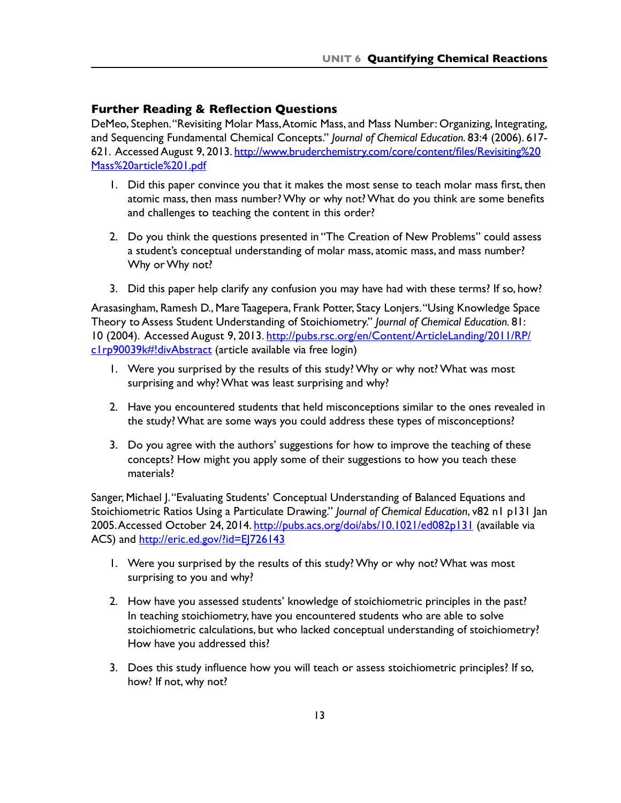#### **Further Reading & Reflection Questions**

DeMeo, Stephen. "Revisiting Molar Mass, Atomic Mass, and Mass Number: Organizing, Integrating, and Sequencing Fundamental Chemical Concepts." *Journal of Chemical Education.* 83:4 (2006). 617 621. Accessed August 9, 2013. [http://www.bruderchemistry.com/core/content/files/Revisiting](http://www.bruderchemistry.com/core/content/files/Revisiting%20Mass%20article%201.pdf)%20 [Mass%20article%201.pdf](http://www.bruderchemistry.com/core/content/files/Revisiting%20Mass%20article%201.pdf)

- 1. Did this paper convince you that it makes the most sense to teach molar mass first, then atomic mass, then mass number? Why or why not? What do you think are some benefits and challenges to teaching the content in this order?
- 2. Do you think the questions presented in "The Creation of New Problems" could assess a student's conceptual understanding of molar mass, atomic mass, and mass number? Why or Why not?
- 3. Did this paper help clarify any confusion you may have had with these terms? If so, how?

Arasasingham, Ramesh D., Mare Taagepera, Frank Potter, Stacy Lonjers. "Using Knowledge Space Theory to Assess Student Understanding of Stoichiometry." *Journal of Chemical Education.* 81: 10 (2004). Accessed August 9, 2013. [http://pubs.rsc.org/en/Content/ArticleLanding/2011/RP/](http://pubs.rsc.org/en/Content/ArticleLanding/2011/RP/c1rp90039k#!divAbstract) [c1rp90039k#!divAbstract](http://pubs.rsc.org/en/Content/ArticleLanding/2011/RP/c1rp90039k#!divAbstract) (article available via free login)

- 1. Were you surprised by the results of this study? Why or why not? What was most surprising and why? What was least surprising and why?
- 2. Have you encountered students that held misconceptions similar to the ones revealed in the study? What are some ways you could address these types of misconceptions?
- 3. Do you agree with the authors' suggestions for how to improve the teaching of these concepts? How might you apply some of their suggestions to how you teach these materials?

Sanger, Michael J. "Evaluating Students' Conceptual Understanding of Balanced Equations and Stoichiometric Ratios Using a Particulate Drawing." *Journal of Chemical Education*, v82 n1 p131 Jan 2005. Accessed October 24, 2014. <http://pubs.acs.org/doi/abs/10.1021/ed082p131>(available via ACS) and<http://eric.ed.gov/?id=EJ726143>

- 1. Were you surprised by the results of this study? Why or why not? What was most surprising to you and why?
- 2. How have you assessed students' knowledge of stoichiometric principles in the past? In teaching stoichiometry, have you encountered students who are able to solve stoichiometric calculations, but who lacked conceptual understanding of stoichiometry? How have you addressed this?
- 3. Does this study influence how you will teach or assess stoichiometric principles? If so, how? If not, why not?